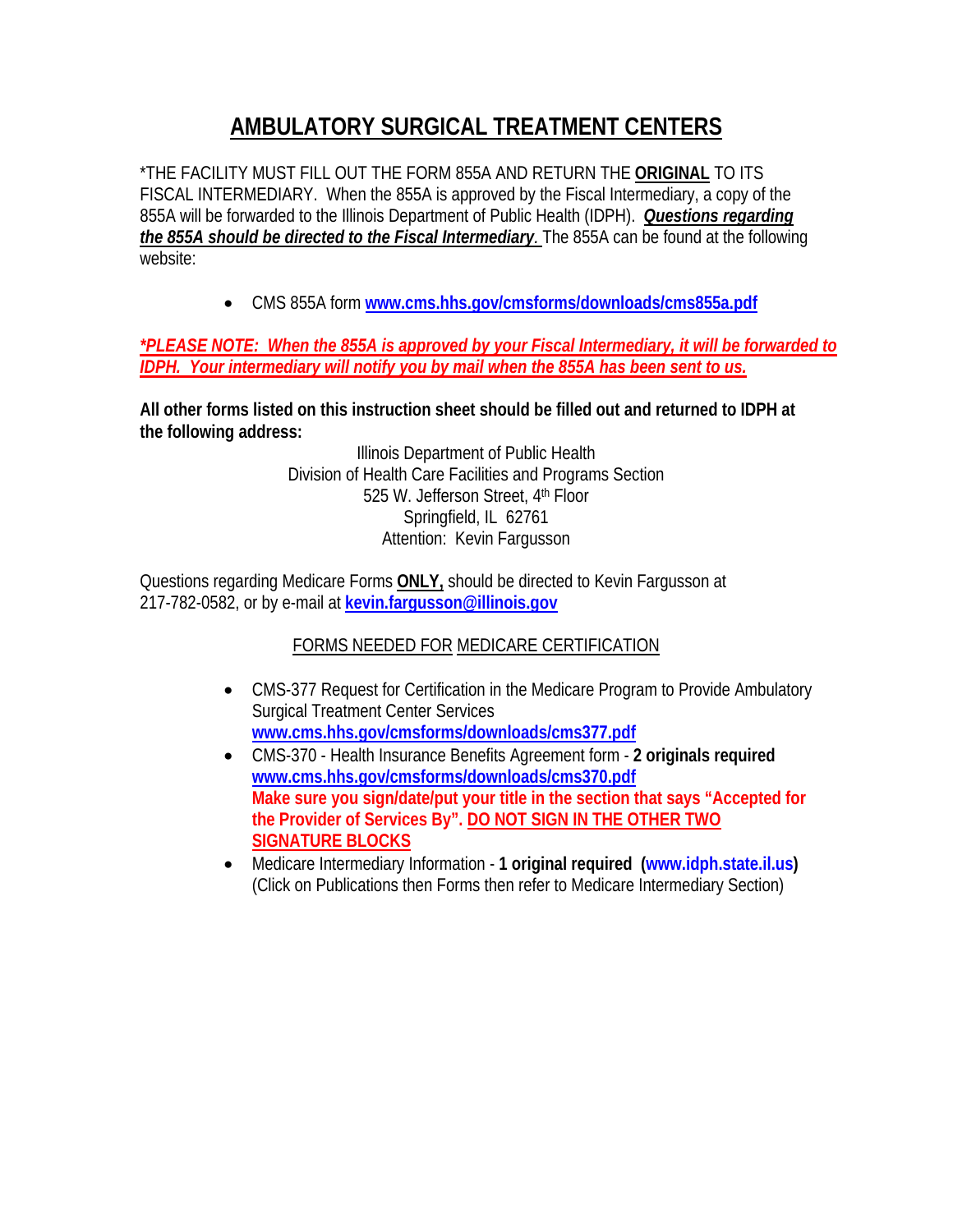## **AMBULATORY SURGICAL TREATMENT CENTERS**

\*THE FACILITY MUST FILL OUT THE FORM 855A AND RETURN THE **ORIGINAL** TO ITS FISCAL INTERMEDIARY. When the 855A is approved by the Fiscal Intermediary, a copy of the 855A will be forwarded to the Illinois Department of Public Health (IDPH). *Questions regarding the 855A should be directed to the Fiscal Intermediary.* The 855A can be found at the following website:

• CMS 855A form **www.cms.hhs.gov/cmsforms/downloads/cms855a.pdf**

## *\*PLEASE NOTE: When the 855A is approved by your Fiscal Intermediary, it will be forwarded to IDPH. Your intermediary will notify you by mail when the 855A has been sent to us.*

**All other forms listed on this instruction sheet should be filled out and returned to IDPH at the following address:** 

> Illinois Department of Public Health Division of Health Care Facilities and Programs Section 525 W. Jefferson Street, 4th Floor Springfield, IL 62761 Attention: Kevin Fargusson

Questions regarding Medicare Forms **ONLY,** should be directed to Kevin Fargusson at 217-782-0582, or by e-mail at **kevin.fargusson@illinois.gov**

## FORMS NEEDED FOR MEDICARE CERTIFICATION

- CMS-377 Request for Certification in the Medicare Program to Provide Ambulatory Surgical Treatment Center Services **www.cms.hhs.gov/cmsforms/downloads/cms377.pdf**
- CMS-370 Health Insurance Benefits Agreement form **2 originals required www.cms.hhs.gov/cmsforms/downloads/cms370.pdf Make sure you sign/date/put your title in the section that says "Accepted for the Provider of Services By". DO NOT SIGN IN THE OTHER TWO SIGNATURE BLOCKS**
- Medicare Intermediary Information **1 original required (www.idph.state.il.us)** (Click on Publications then Forms then refer to Medicare Intermediary Section)